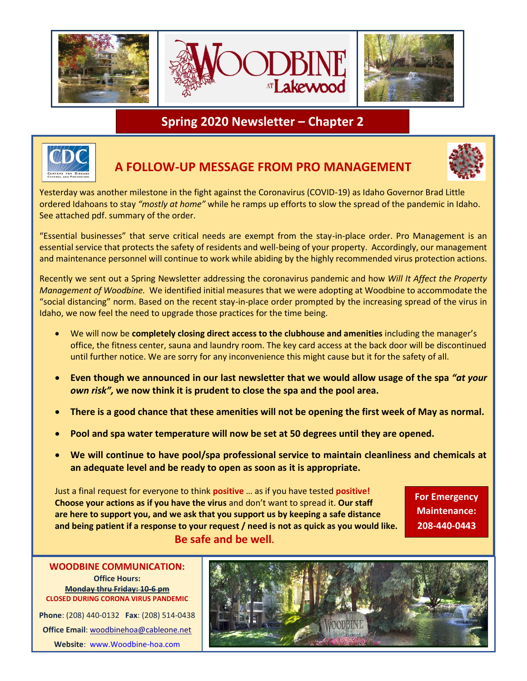

## **Spring 2020 Newsletter – Chapter 2**



## **A FOLLOW-UP MESSAGE FROM PRO MANAGEMENT**



Yesterday was another milestone in the fight against the Coronavirus (COVID-19) as Idaho Governor Brad Little ordered Idahoans to stay *"mostly at home"* while he ramps up efforts to slow the spread of the pandemic in Idaho. See attached pdf. summary of the order.

"Essential businesses" that serve critical needs are exempt from the stay-in-place order. Pro Management is an essential service that protects the safety of residents and well-being of your property. Accordingly, our management and maintenance personnel will continue to work while abiding by the highly recommended virus protection actions.

Recently we sent out a Spring Newsletter addressing the coronavirus pandemic and how *Will It Affect the Property Management of Woodbine.* We identified initial measures that we were adopting at Woodbine to accommodate the "social distancing" norm. Based on the recent stay-in-place order prompted by the increasing spread of the virus in Idaho, we now feel the need to upgrade those practices for the time being.

- We will now be **completely closing direct access to the clubhouse and amenities** including the manager's office, the fitness center, sauna and laundry room. The key card access at the back door will be discontinued until further notice. We are sorry for any inconvenience this might cause but it for the safety of all.
- **Even though we announced in our last newsletter that we would allow usage of the spa** *"at your own risk",* **we now think it is prudent to close the spa and the pool area.**
- **There is a good chance that these amenities will not be opening the first week of May as normal.**
- **Pool and spa water temperature will now be set at 50 degrees until they are opened.**
- **We will continue to have pool/spa professional service to maintain cleanliness and chemicals at an adequate level and be ready to open as soon as it is appropriate.**

Just a final request for everyone to think **positive** … as if you have tested **positive! Choose your actions as if you have the virus** and don't want to spread it. **Our staff are here to support you, and we ask that you support us by keeping a safe distance and being patient if a response to your request / need is not as quick as you would like. Be safe and be well.** 

**For Emergency Maintenance: 208-440-0443**

**Office Hours: Monday thru Friday: 10-6 pm CLOSED DURING CORONA VIRUS PANDEMIC Phone**: (208) 440-0132 **Fax**: (208) 514-0438 **Office Email**[: woodbinehoa@cableone.net](mailto:woodbinehoa@cableone.net)

**Website**: [www.Woodbine-hoa.com](http://www.woodbine-hoa.com/)

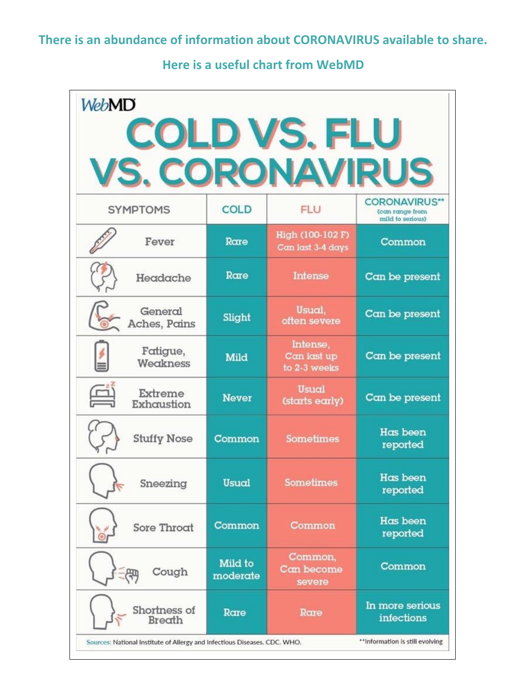**Here is a useful chart from WebMD**

| <b>WebMD</b>                                                                                                  |                     |                                         |                                                             |  |
|---------------------------------------------------------------------------------------------------------------|---------------------|-----------------------------------------|-------------------------------------------------------------|--|
| <b>COLD VS. FLU</b>                                                                                           |                     |                                         |                                                             |  |
| <b>VS. CORONAVIRUS</b>                                                                                        |                     |                                         |                                                             |  |
| <b>SYMPTOMS</b>                                                                                               | <b>COLD</b>         | <b>FLU</b>                              | <b>CORONAVIRUS**</b><br>(can range from<br>mild to serious) |  |
| Fever                                                                                                         | Rare                | High (100-102 F)<br>Can last 3-4 days   | Common                                                      |  |
| Headache                                                                                                      | Rare                | Intense                                 | Can be present                                              |  |
| General<br>Aches, Pains                                                                                       | Slight              | Usual,<br>often severe                  | Can be present                                              |  |
| Fatigue,<br>$\frac{1}{2}$<br>Weakness                                                                         | Mild                | Intense,<br>Can last up<br>to 2-3 weeks | Can be present                                              |  |
| $\mathbb{F}$<br>Extreme<br>Exhaustion                                                                         | <b>Never</b>        | <b>Usual</b><br>(starts early)          | Can be present                                              |  |
| <b>Stuffy Nose</b>                                                                                            | Common              | <b>Sometimes</b>                        | <b>Has been</b><br>reported                                 |  |
| Sneezing                                                                                                      | Usual               | <b>Sometimes</b>                        | Has been<br>reported                                        |  |
| Sore Throat                                                                                                   | Common              | Common                                  | Has been<br>reported                                        |  |
| Cough                                                                                                         | Mild to<br>moderate | Common,<br>Can become<br>severe         | Common                                                      |  |
| Shortness of<br>Breath                                                                                        | Rare                | Rare                                    | In more serious<br>infections                               |  |
| ** Information is still evolving<br>Sources: National Institute of Allergy and Infectious Diseases. CDC. WHO. |                     |                                         |                                                             |  |